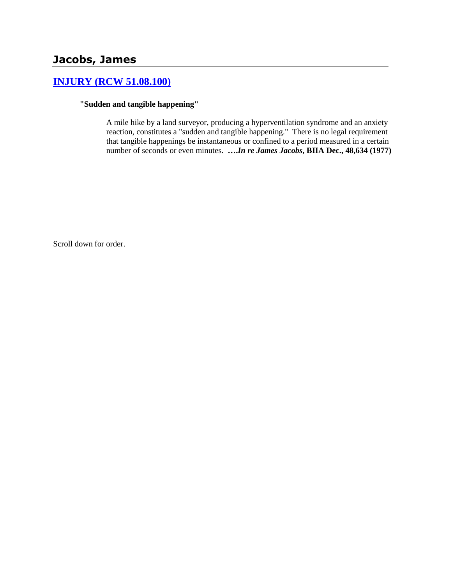# **Jacobs, James**

# **[INJURY \(RCW 51.08.100\)](http://www.biia.wa.gov/SDSubjectIndex.html#INJURY)**

### **"Sudden and tangible happening"**

A mile hike by a land surveyor, producing a hyperventilation syndrome and an anxiety reaction, constitutes a "sudden and tangible happening." There is no legal requirement that tangible happenings be instantaneous or confined to a period measured in a certain number of seconds or even minutes. **….***In re James Jacobs***, BIIA Dec., 48,634 (1977)** 

Scroll down for order.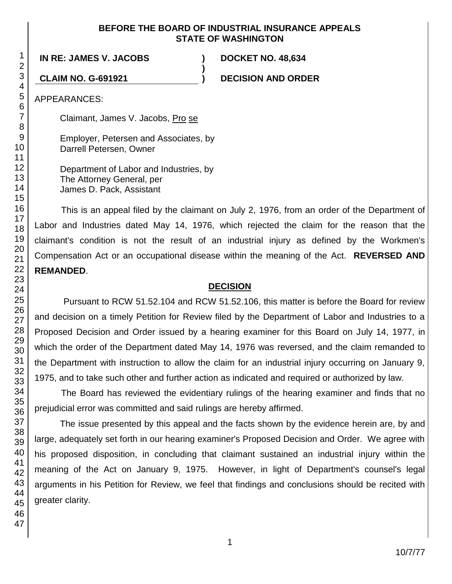## **BEFORE THE BOARD OF INDUSTRIAL INSURANCE APPEALS STATE OF WASHINGTON**

**)**

**IN RE: JAMES V. JACOBS ) DOCKET NO. 48,634**

**CLAIM NO. G-691921 ) DECISION AND ORDER**

APPEARANCES:

Claimant, James V. Jacobs, Pro se

Employer, Petersen and Associates, by Darrell Petersen, Owner

Department of Labor and Industries, by The Attorney General, per James D. Pack, Assistant

This is an appeal filed by the claimant on July 2, 1976, from an order of the Department of Labor and Industries dated May 14, 1976, which rejected the claim for the reason that the claimant's condition is not the result of an industrial injury as defined by the Workmen's Compensation Act or an occupational disease within the meaning of the Act. **REVERSED AND REMANDED**.

# **DECISION**

Pursuant to RCW 51.52.104 and RCW 51.52.106, this matter is before the Board for review and decision on a timely Petition for Review filed by the Department of Labor and Industries to a Proposed Decision and Order issued by a hearing examiner for this Board on July 14, 1977, in which the order of the Department dated May 14, 1976 was reversed, and the claim remanded to the Department with instruction to allow the claim for an industrial injury occurring on January 9, 1975, and to take such other and further action as indicated and required or authorized by law.

The Board has reviewed the evidentiary rulings of the hearing examiner and finds that no prejudicial error was committed and said rulings are hereby affirmed.

The issue presented by this appeal and the facts shown by the evidence herein are, by and large, adequately set forth in our hearing examiner's Proposed Decision and Order. We agree with his proposed disposition, in concluding that claimant sustained an industrial injury within the meaning of the Act on January 9, 1975. However, in light of Department's counsel's legal arguments in his Petition for Review, we feel that findings and conclusions should be recited with greater clarity.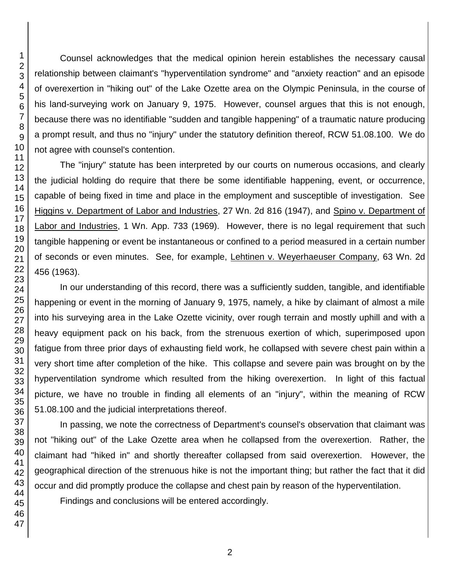Counsel acknowledges that the medical opinion herein establishes the necessary causal relationship between claimant's "hyperventilation syndrome" and "anxiety reaction" and an episode of overexertion in "hiking out" of the Lake Ozette area on the Olympic Peninsula, in the course of his land-surveying work on January 9, 1975. However, counsel argues that this is not enough, because there was no identifiable "sudden and tangible happening" of a traumatic nature producing a prompt result, and thus no "injury" under the statutory definition thereof, RCW 51.08.100. We do not agree with counsel's contention.

The "injury" statute has been interpreted by our courts on numerous occasions, and clearly the judicial holding do require that there be some identifiable happening, event, or occurrence, capable of being fixed in time and place in the employment and susceptible of investigation. See Higgins v. Department of Labor and Industries, 27 Wn. 2d 816 (1947), and Spino v. Department of Labor and Industries, 1 Wn. App. 733 (1969). However, there is no legal requirement that such tangible happening or event be instantaneous or confined to a period measured in a certain number of seconds or even minutes. See, for example, Lehtinen v. Weyerhaeuser Company, 63 Wn. 2d 456 (1963).

In our understanding of this record, there was a sufficiently sudden, tangible, and identifiable happening or event in the morning of January 9, 1975, namely, a hike by claimant of almost a mile into his surveying area in the Lake Ozette vicinity, over rough terrain and mostly uphill and with a heavy equipment pack on his back, from the strenuous exertion of which, superimposed upon fatigue from three prior days of exhausting field work, he collapsed with severe chest pain within a very short time after completion of the hike. This collapse and severe pain was brought on by the hyperventilation syndrome which resulted from the hiking overexertion. In light of this factual picture, we have no trouble in finding all elements of an "injury", within the meaning of RCW 51.08.100 and the judicial interpretations thereof.

In passing, we note the correctness of Department's counsel's observation that claimant was not "hiking out" of the Lake Ozette area when he collapsed from the overexertion. Rather, the claimant had "hiked in" and shortly thereafter collapsed from said overexertion. However, the geographical direction of the strenuous hike is not the important thing; but rather the fact that it did occur and did promptly produce the collapse and chest pain by reason of the hyperventilation.

Findings and conclusions will be entered accordingly.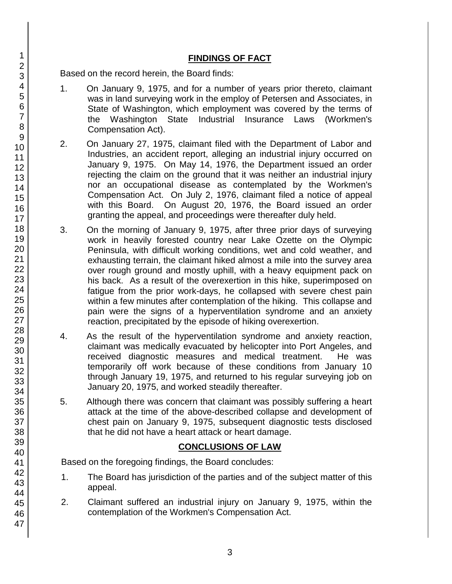# **FINDINGS OF FACT**

Based on the record herein, the Board finds:

- 1. On January 9, 1975, and for a number of years prior thereto, claimant was in land surveying work in the employ of Petersen and Associates, in State of Washington, which employment was covered by the terms of the Washington State Industrial Insurance Laws (Workmen's Compensation Act).
- 2. On January 27, 1975, claimant filed with the Department of Labor and Industries, an accident report, alleging an industrial injury occurred on January 9, 1975. On May 14, 1976, the Department issued an order rejecting the claim on the ground that it was neither an industrial injury nor an occupational disease as contemplated by the Workmen's Compensation Act. On July 2, 1976, claimant filed a notice of appeal with this Board. On August 20, 1976, the Board issued an order granting the appeal, and proceedings were thereafter duly held.
- 3. On the morning of January 9, 1975, after three prior days of surveying work in heavily forested country near Lake Ozette on the Olympic Peninsula, with difficult working conditions, wet and cold weather, and exhausting terrain, the claimant hiked almost a mile into the survey area over rough ground and mostly uphill, with a heavy equipment pack on his back. As a result of the overexertion in this hike, superimposed on fatigue from the prior work-days, he collapsed with severe chest pain within a few minutes after contemplation of the hiking. This collapse and pain were the signs of a hyperventilation syndrome and an anxiety reaction, precipitated by the episode of hiking overexertion.
- 4. As the result of the hyperventilation syndrome and anxiety reaction, claimant was medically evacuated by helicopter into Port Angeles, and received diagnostic measures and medical treatment. He was temporarily off work because of these conditions from January 10 through January 19, 1975, and returned to his regular surveying job on January 20, 1975, and worked steadily thereafter.
- 5. Although there was concern that claimant was possibly suffering a heart attack at the time of the above-described collapse and development of chest pain on January 9, 1975, subsequent diagnostic tests disclosed that he did not have a heart attack or heart damage.

## **CONCLUSIONS OF LAW**

Based on the foregoing findings, the Board concludes:

- 1. The Board has jurisdiction of the parties and of the subject matter of this appeal.
- 2. Claimant suffered an industrial injury on January 9, 1975, within the contemplation of the Workmen's Compensation Act.